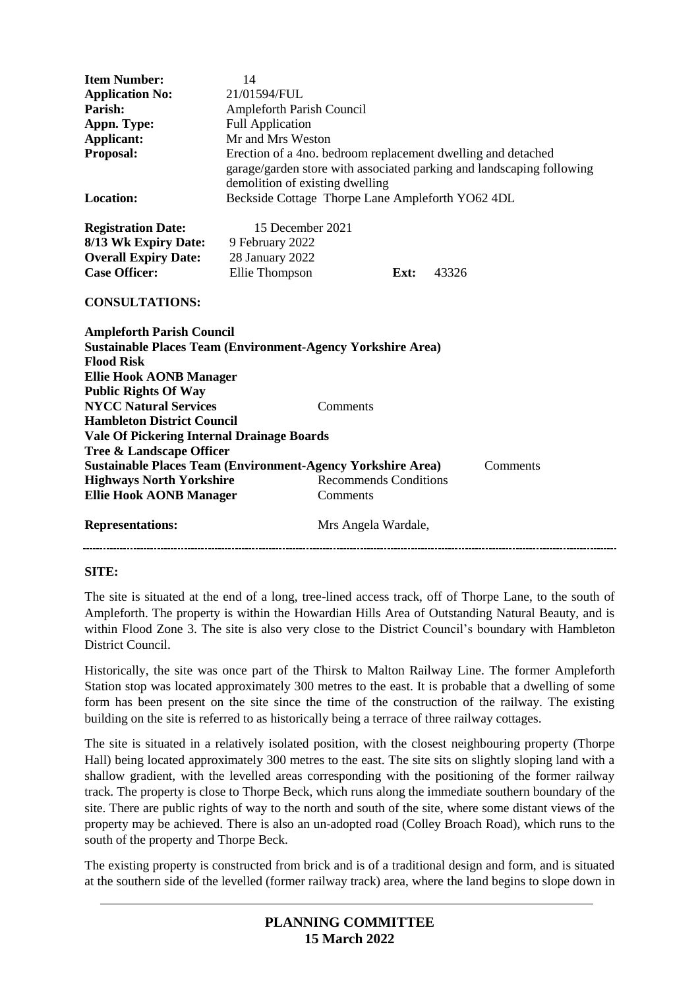| <b>Item Number:</b><br><b>Application No:</b><br>Parish:<br>Appn. Type:<br>Applicant:<br>Proposal:<br><b>Location:</b>                                                                                                | 14<br>21/01594/FUL<br>Ampleforth Parish Council<br><b>Full Application</b><br>Mr and Mrs Weston<br>Erection of a 4no. bedroom replacement dwelling and detached<br>garage/garden store with associated parking and landscaping following<br>demolition of existing dwelling<br>Beckside Cottage Thorpe Lane Ampleforth YO62 4DL |
|-----------------------------------------------------------------------------------------------------------------------------------------------------------------------------------------------------------------------|---------------------------------------------------------------------------------------------------------------------------------------------------------------------------------------------------------------------------------------------------------------------------------------------------------------------------------|
| <b>Registration Date:</b><br>8/13 Wk Expiry Date:<br><b>Overall Expiry Date:</b><br><b>Case Officer:</b>                                                                                                              | 15 December 2021<br>9 February 2022<br>28 January 2022<br>Ellie Thompson<br>Ext:<br>43326                                                                                                                                                                                                                                       |
| <b>CONSULTATIONS:</b><br><b>Ampleforth Parish Council</b><br><b>Sustainable Places Team (Environment-Agency Yorkshire Area)</b><br><b>Flood Risk</b><br><b>Ellie Hook AONB Manager</b><br><b>Public Rights Of Way</b> |                                                                                                                                                                                                                                                                                                                                 |
| <b>NYCC Natural Services</b><br>Comments<br><b>Hambleton District Council</b><br>Vale Of Pickering Internal Drainage Boards<br>Tree & Landscape Officer                                                               |                                                                                                                                                                                                                                                                                                                                 |
| <b>Highways North Yorkshire</b><br><b>Ellie Hook AONB Manager</b>                                                                                                                                                     | <b>Sustainable Places Team (Environment-Agency Yorkshire Area)</b><br>Comments<br><b>Recommends Conditions</b><br>Comments                                                                                                                                                                                                      |
| <b>Representations:</b>                                                                                                                                                                                               | Mrs Angela Wardale,                                                                                                                                                                                                                                                                                                             |

#### **SITE:**

The site is situated at the end of a long, tree-lined access track, off of Thorpe Lane, to the south of Ampleforth. The property is within the Howardian Hills Area of Outstanding Natural Beauty, and is within Flood Zone 3. The site is also very close to the District Council's boundary with Hambleton District Council.

Historically, the site was once part of the Thirsk to Malton Railway Line. The former Ampleforth Station stop was located approximately 300 metres to the east. It is probable that a dwelling of some form has been present on the site since the time of the construction of the railway. The existing building on the site is referred to as historically being a terrace of three railway cottages.

The site is situated in a relatively isolated position, with the closest neighbouring property (Thorpe Hall) being located approximately 300 metres to the east. The site sits on slightly sloping land with a shallow gradient, with the levelled areas corresponding with the positioning of the former railway track. The property is close to Thorpe Beck, which runs along the immediate southern boundary of the site. There are public rights of way to the north and south of the site, where some distant views of the property may be achieved. There is also an un-adopted road (Colley Broach Road), which runs to the south of the property and Thorpe Beck.

The existing property is constructed from brick and is of a traditional design and form, and is situated at the southern side of the levelled (former railway track) area, where the land begins to slope down in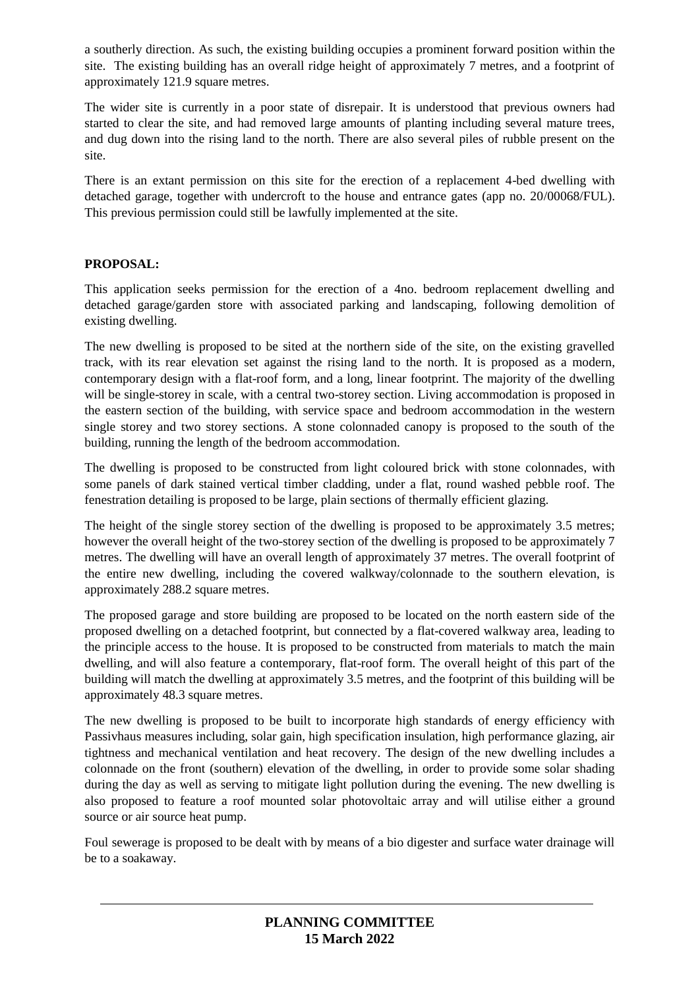a southerly direction. As such, the existing building occupies a prominent forward position within the site. The existing building has an overall ridge height of approximately 7 metres, and a footprint of approximately 121.9 square metres.

The wider site is currently in a poor state of disrepair. It is understood that previous owners had started to clear the site, and had removed large amounts of planting including several mature trees, and dug down into the rising land to the north. There are also several piles of rubble present on the site.

There is an extant permission on this site for the erection of a replacement 4-bed dwelling with detached garage, together with undercroft to the house and entrance gates (app no. 20/00068/FUL). This previous permission could still be lawfully implemented at the site.

## **PROPOSAL:**

This application seeks permission for the erection of a 4no. bedroom replacement dwelling and detached garage/garden store with associated parking and landscaping, following demolition of existing dwelling.

The new dwelling is proposed to be sited at the northern side of the site, on the existing gravelled track, with its rear elevation set against the rising land to the north. It is proposed as a modern, contemporary design with a flat-roof form, and a long, linear footprint. The majority of the dwelling will be single-storey in scale, with a central two-storey section. Living accommodation is proposed in the eastern section of the building, with service space and bedroom accommodation in the western single storey and two storey sections. A stone colonnaded canopy is proposed to the south of the building, running the length of the bedroom accommodation.

The dwelling is proposed to be constructed from light coloured brick with stone colonnades, with some panels of dark stained vertical timber cladding, under a flat, round washed pebble roof. The fenestration detailing is proposed to be large, plain sections of thermally efficient glazing.

The height of the single storey section of the dwelling is proposed to be approximately 3.5 metres; however the overall height of the two-storey section of the dwelling is proposed to be approximately 7 metres. The dwelling will have an overall length of approximately 37 metres. The overall footprint of the entire new dwelling, including the covered walkway/colonnade to the southern elevation, is approximately 288.2 square metres.

The proposed garage and store building are proposed to be located on the north eastern side of the proposed dwelling on a detached footprint, but connected by a flat-covered walkway area, leading to the principle access to the house. It is proposed to be constructed from materials to match the main dwelling, and will also feature a contemporary, flat-roof form. The overall height of this part of the building will match the dwelling at approximately 3.5 metres, and the footprint of this building will be approximately 48.3 square metres.

The new dwelling is proposed to be built to incorporate high standards of energy efficiency with Passivhaus measures including, solar gain, high specification insulation, high performance glazing, air tightness and mechanical ventilation and heat recovery. The design of the new dwelling includes a colonnade on the front (southern) elevation of the dwelling, in order to provide some solar shading during the day as well as serving to mitigate light pollution during the evening. The new dwelling is also proposed to feature a roof mounted solar photovoltaic array and will utilise either a ground source or air source heat pump.

Foul sewerage is proposed to be dealt with by means of a bio digester and surface water drainage will be to a soakaway.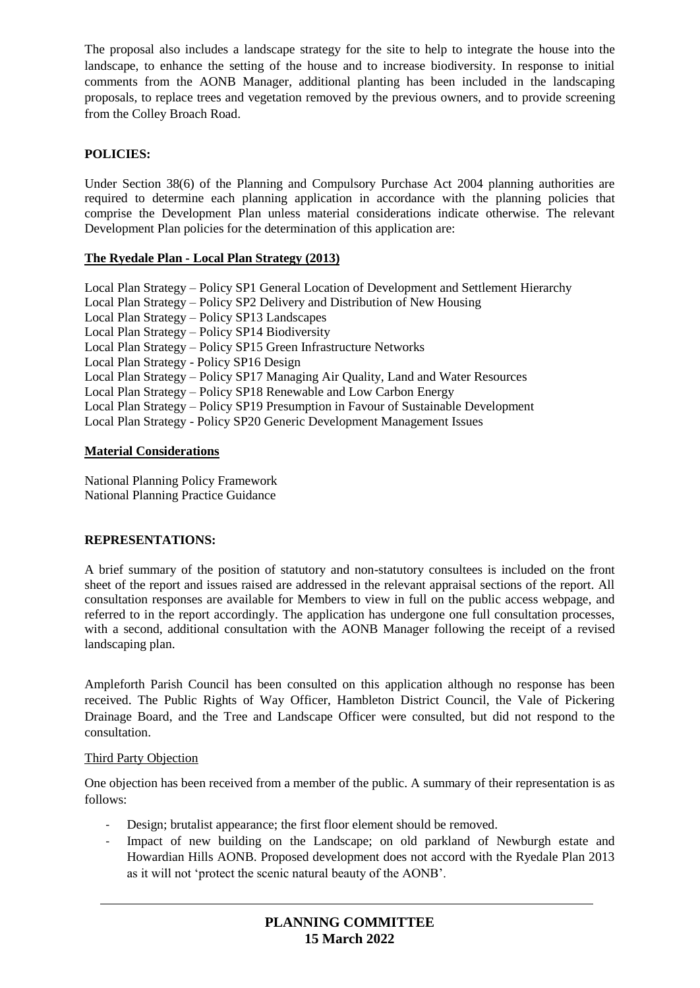The proposal also includes a landscape strategy for the site to help to integrate the house into the landscape, to enhance the setting of the house and to increase biodiversity. In response to initial comments from the AONB Manager, additional planting has been included in the landscaping proposals, to replace trees and vegetation removed by the previous owners, and to provide screening from the Colley Broach Road.

# **POLICIES:**

Under Section 38(6) of the Planning and Compulsory Purchase Act 2004 planning authorities are required to determine each planning application in accordance with the planning policies that comprise the Development Plan unless material considerations indicate otherwise. The relevant Development Plan policies for the determination of this application are:

## **The Ryedale Plan - Local Plan Strategy (2013)**

| Local Plan Strategy – Policy SP1 General Location of Development and Settlement Hierarchy |
|-------------------------------------------------------------------------------------------|
| Local Plan Strategy – Policy SP2 Delivery and Distribution of New Housing                 |
| Local Plan Strategy - Policy SP13 Landscapes                                              |
| Local Plan Strategy - Policy SP14 Biodiversity                                            |
| Local Plan Strategy – Policy SP15 Green Infrastructure Networks                           |
| Local Plan Strategy - Policy SP16 Design                                                  |
| Local Plan Strategy – Policy SP17 Managing Air Quality, Land and Water Resources          |
| Local Plan Strategy – Policy SP18 Renewable and Low Carbon Energy                         |
| Local Plan Strategy – Policy SP19 Presumption in Favour of Sustainable Development        |
| Local Plan Strategy - Policy SP20 Generic Development Management Issues                   |

#### **Material Considerations**

National Planning Policy Framework National Planning Practice Guidance

## **REPRESENTATIONS:**

A brief summary of the position of statutory and non-statutory consultees is included on the front sheet of the report and issues raised are addressed in the relevant appraisal sections of the report. All consultation responses are available for Members to view in full on the public access webpage, and referred to in the report accordingly. The application has undergone one full consultation processes, with a second, additional consultation with the AONB Manager following the receipt of a revised landscaping plan.

Ampleforth Parish Council has been consulted on this application although no response has been received. The Public Rights of Way Officer, Hambleton District Council, the Vale of Pickering Drainage Board, and the Tree and Landscape Officer were consulted, but did not respond to the consultation.

## Third Party Objection

One objection has been received from a member of the public. A summary of their representation is as follows:

- Design; brutalist appearance; the first floor element should be removed.
- Impact of new building on the Landscape; on old parkland of Newburgh estate and Howardian Hills AONB. Proposed development does not accord with the Ryedale Plan 2013 as it will not 'protect the scenic natural beauty of the AONB'.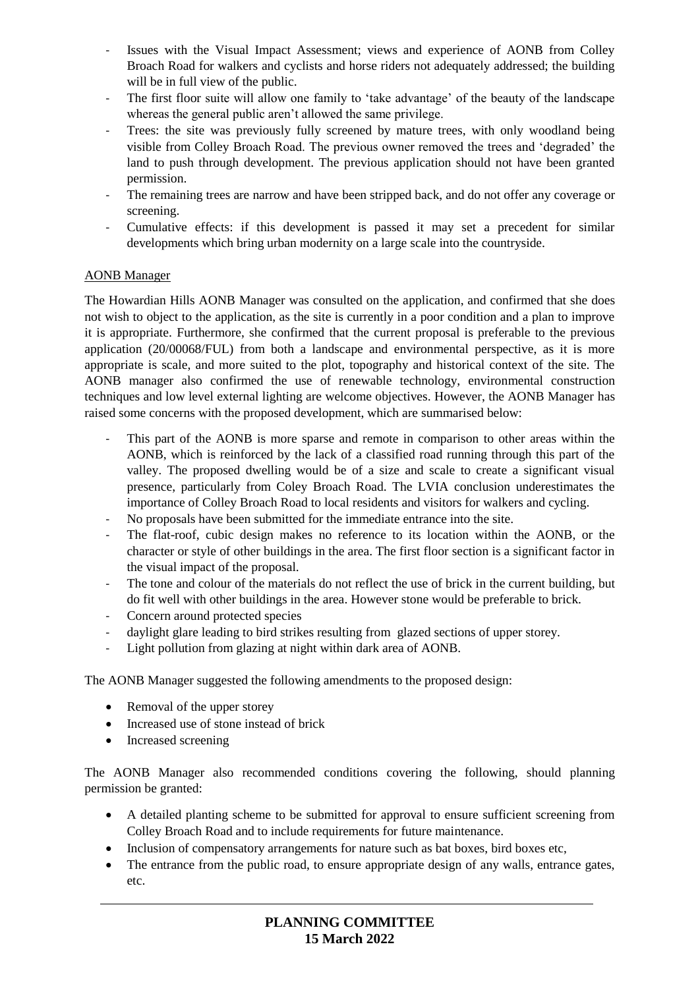- Issues with the Visual Impact Assessment; views and experience of AONB from Colley Broach Road for walkers and cyclists and horse riders not adequately addressed; the building will be in full view of the public.
- The first floor suite will allow one family to 'take advantage' of the beauty of the landscape whereas the general public aren't allowed the same privilege.
- Trees: the site was previously fully screened by mature trees, with only woodland being visible from Colley Broach Road. The previous owner removed the trees and 'degraded' the land to push through development. The previous application should not have been granted permission.
- The remaining trees are narrow and have been stripped back, and do not offer any coverage or screening.
- Cumulative effects: if this development is passed it may set a precedent for similar developments which bring urban modernity on a large scale into the countryside.

## AONB Manager

The Howardian Hills AONB Manager was consulted on the application, and confirmed that she does not wish to object to the application, as the site is currently in a poor condition and a plan to improve it is appropriate. Furthermore, she confirmed that the current proposal is preferable to the previous application (20/00068/FUL) from both a landscape and environmental perspective, as it is more appropriate is scale, and more suited to the plot, topography and historical context of the site. The AONB manager also confirmed the use of renewable technology, environmental construction techniques and low level external lighting are welcome objectives. However, the AONB Manager has raised some concerns with the proposed development, which are summarised below:

- This part of the AONB is more sparse and remote in comparison to other areas within the AONB, which is reinforced by the lack of a classified road running through this part of the valley. The proposed dwelling would be of a size and scale to create a significant visual presence, particularly from Coley Broach Road. The LVIA conclusion underestimates the importance of Colley Broach Road to local residents and visitors for walkers and cycling.
- No proposals have been submitted for the immediate entrance into the site.
- The flat-roof, cubic design makes no reference to its location within the AONB, or the character or style of other buildings in the area. The first floor section is a significant factor in the visual impact of the proposal.
- The tone and colour of the materials do not reflect the use of brick in the current building, but do fit well with other buildings in the area. However stone would be preferable to brick.
- Concern around protected species
- daylight glare leading to bird strikes resulting from glazed sections of upper storey.
- Light pollution from glazing at night within dark area of AONB.

The AONB Manager suggested the following amendments to the proposed design:

- Removal of the upper storey
- Increased use of stone instead of brick
- Increased screening

The AONB Manager also recommended conditions covering the following, should planning permission be granted:

- A detailed planting scheme to be submitted for approval to ensure sufficient screening from Colley Broach Road and to include requirements for future maintenance.
- Inclusion of compensatory arrangements for nature such as bat boxes, bird boxes etc,
- The entrance from the public road, to ensure appropriate design of any walls, entrance gates, etc.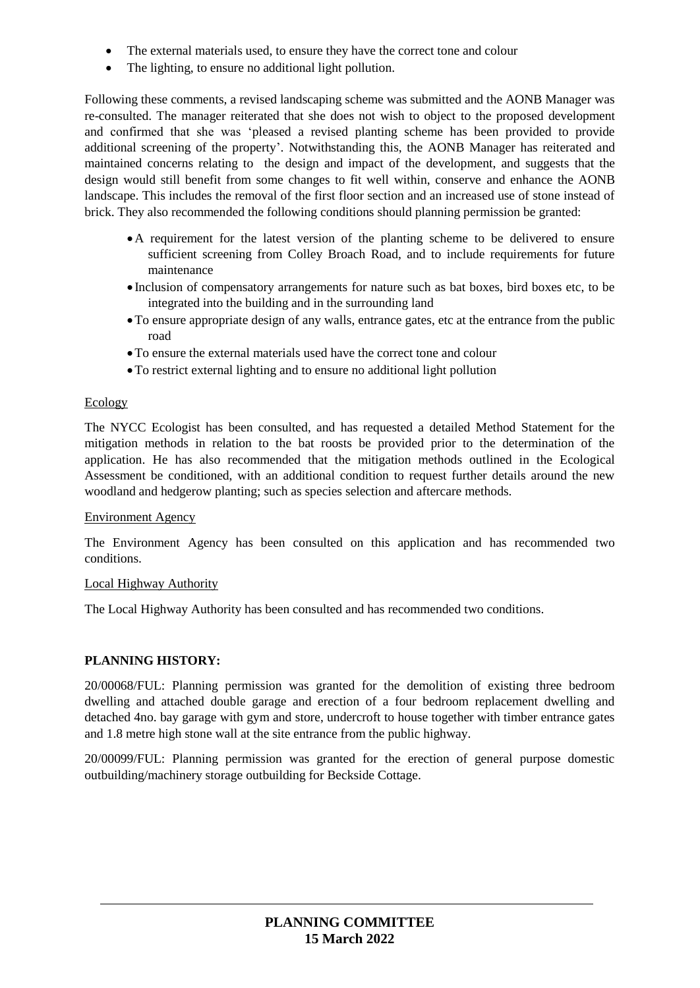- The external materials used, to ensure they have the correct tone and colour
- The lighting, to ensure no additional light pollution.

Following these comments, a revised landscaping scheme was submitted and the AONB Manager was re-consulted. The manager reiterated that she does not wish to object to the proposed development and confirmed that she was 'pleased a revised planting scheme has been provided to provide additional screening of the property'. Notwithstanding this, the AONB Manager has reiterated and maintained concerns relating to the design and impact of the development, and suggests that the design would still benefit from some changes to fit well within, conserve and enhance the AONB landscape. This includes the removal of the first floor section and an increased use of stone instead of brick. They also recommended the following conditions should planning permission be granted:

- A requirement for the latest version of the planting scheme to be delivered to ensure sufficient screening from Colley Broach Road, and to include requirements for future maintenance
- Inclusion of compensatory arrangements for nature such as bat boxes, bird boxes etc, to be integrated into the building and in the surrounding land
- To ensure appropriate design of any walls, entrance gates, etc at the entrance from the public road
- To ensure the external materials used have the correct tone and colour
- To restrict external lighting and to ensure no additional light pollution

#### **Ecology**

The NYCC Ecologist has been consulted, and has requested a detailed Method Statement for the mitigation methods in relation to the bat roosts be provided prior to the determination of the application. He has also recommended that the mitigation methods outlined in the Ecological Assessment be conditioned, with an additional condition to request further details around the new woodland and hedgerow planting; such as species selection and aftercare methods.

#### Environment Agency

The Environment Agency has been consulted on this application and has recommended two conditions.

#### Local Highway Authority

The Local Highway Authority has been consulted and has recommended two conditions.

#### **PLANNING HISTORY:**

20/00068/FUL: Planning permission was granted for the demolition of existing three bedroom dwelling and attached double garage and erection of a four bedroom replacement dwelling and detached 4no. bay garage with gym and store, undercroft to house together with timber entrance gates and 1.8 metre high stone wall at the site entrance from the public highway.

20/00099/FUL: Planning permission was granted for the erection of general purpose domestic outbuilding/machinery storage outbuilding for Beckside Cottage.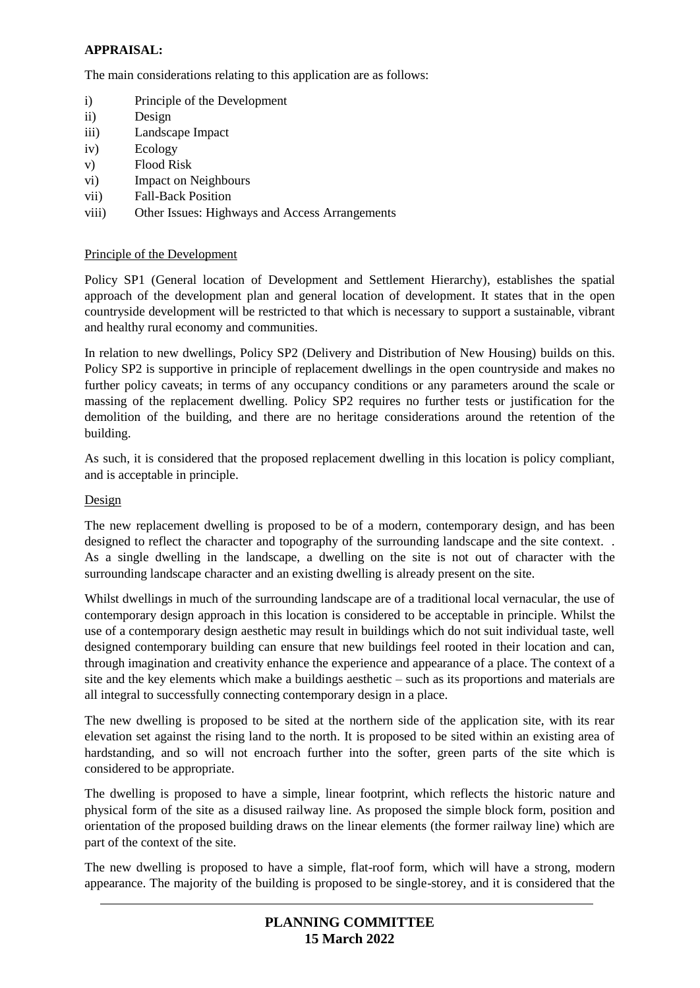# **APPRAISAL:**

The main considerations relating to this application are as follows:

- i) Principle of the Development
- ii) Design
- iii) Landscape Impact
- iv) Ecology
- v) Flood Risk
- vi) Impact on Neighbours
- vii) Fall-Back Position
- viii) Other Issues: Highways and Access Arrangements

## Principle of the Development

Policy SP1 (General location of Development and Settlement Hierarchy), establishes the spatial approach of the development plan and general location of development. It states that in the open countryside development will be restricted to that which is necessary to support a sustainable, vibrant and healthy rural economy and communities.

In relation to new dwellings, Policy SP2 (Delivery and Distribution of New Housing) builds on this. Policy SP2 is supportive in principle of replacement dwellings in the open countryside and makes no further policy caveats; in terms of any occupancy conditions or any parameters around the scale or massing of the replacement dwelling. Policy SP2 requires no further tests or justification for the demolition of the building, and there are no heritage considerations around the retention of the building.

As such, it is considered that the proposed replacement dwelling in this location is policy compliant, and is acceptable in principle.

## Design

The new replacement dwelling is proposed to be of a modern, contemporary design, and has been designed to reflect the character and topography of the surrounding landscape and the site context. . As a single dwelling in the landscape, a dwelling on the site is not out of character with the surrounding landscape character and an existing dwelling is already present on the site.

Whilst dwellings in much of the surrounding landscape are of a traditional local vernacular, the use of contemporary design approach in this location is considered to be acceptable in principle. Whilst the use of a contemporary design aesthetic may result in buildings which do not suit individual taste, well designed contemporary building can ensure that new buildings feel rooted in their location and can, through imagination and creativity enhance the experience and appearance of a place. The context of a site and the key elements which make a buildings aesthetic – such as its proportions and materials are all integral to successfully connecting contemporary design in a place.

The new dwelling is proposed to be sited at the northern side of the application site, with its rear elevation set against the rising land to the north. It is proposed to be sited within an existing area of hardstanding, and so will not encroach further into the softer, green parts of the site which is considered to be appropriate.

The dwelling is proposed to have a simple, linear footprint, which reflects the historic nature and physical form of the site as a disused railway line. As proposed the simple block form, position and orientation of the proposed building draws on the linear elements (the former railway line) which are part of the context of the site.

The new dwelling is proposed to have a simple, flat-roof form, which will have a strong, modern appearance. The majority of the building is proposed to be single-storey, and it is considered that the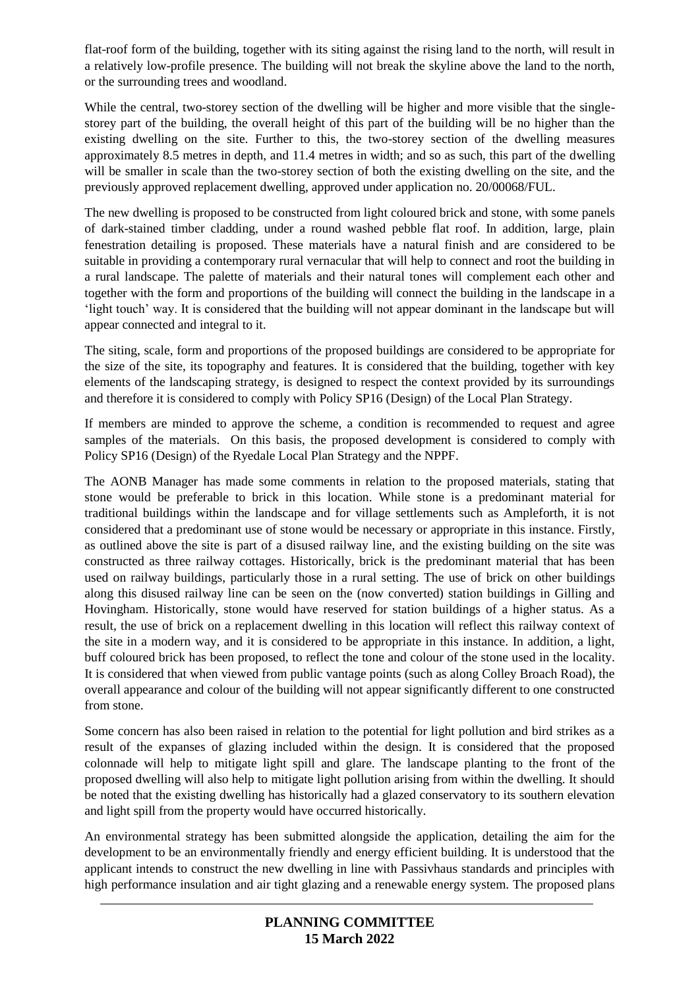flat-roof form of the building, together with its siting against the rising land to the north, will result in a relatively low-profile presence. The building will not break the skyline above the land to the north, or the surrounding trees and woodland.

While the central, two-storey section of the dwelling will be higher and more visible that the singlestorey part of the building, the overall height of this part of the building will be no higher than the existing dwelling on the site. Further to this, the two-storey section of the dwelling measures approximately 8.5 metres in depth, and 11.4 metres in width; and so as such, this part of the dwelling will be smaller in scale than the two-storey section of both the existing dwelling on the site, and the previously approved replacement dwelling, approved under application no. 20/00068/FUL.

The new dwelling is proposed to be constructed from light coloured brick and stone, with some panels of dark-stained timber cladding, under a round washed pebble flat roof. In addition, large, plain fenestration detailing is proposed. These materials have a natural finish and are considered to be suitable in providing a contemporary rural vernacular that will help to connect and root the building in a rural landscape. The palette of materials and their natural tones will complement each other and together with the form and proportions of the building will connect the building in the landscape in a 'light touch' way. It is considered that the building will not appear dominant in the landscape but will appear connected and integral to it.

The siting, scale, form and proportions of the proposed buildings are considered to be appropriate for the size of the site, its topography and features. It is considered that the building, together with key elements of the landscaping strategy, is designed to respect the context provided by its surroundings and therefore it is considered to comply with Policy SP16 (Design) of the Local Plan Strategy.

If members are minded to approve the scheme, a condition is recommended to request and agree samples of the materials. On this basis, the proposed development is considered to comply with Policy SP16 (Design) of the Ryedale Local Plan Strategy and the NPPF.

The AONB Manager has made some comments in relation to the proposed materials, stating that stone would be preferable to brick in this location. While stone is a predominant material for traditional buildings within the landscape and for village settlements such as Ampleforth, it is not considered that a predominant use of stone would be necessary or appropriate in this instance. Firstly, as outlined above the site is part of a disused railway line, and the existing building on the site was constructed as three railway cottages. Historically, brick is the predominant material that has been used on railway buildings, particularly those in a rural setting. The use of brick on other buildings along this disused railway line can be seen on the (now converted) station buildings in Gilling and Hovingham. Historically, stone would have reserved for station buildings of a higher status. As a result, the use of brick on a replacement dwelling in this location will reflect this railway context of the site in a modern way, and it is considered to be appropriate in this instance. In addition, a light, buff coloured brick has been proposed, to reflect the tone and colour of the stone used in the locality. It is considered that when viewed from public vantage points (such as along Colley Broach Road), the overall appearance and colour of the building will not appear significantly different to one constructed from stone.

Some concern has also been raised in relation to the potential for light pollution and bird strikes as a result of the expanses of glazing included within the design. It is considered that the proposed colonnade will help to mitigate light spill and glare. The landscape planting to the front of the proposed dwelling will also help to mitigate light pollution arising from within the dwelling. It should be noted that the existing dwelling has historically had a glazed conservatory to its southern elevation and light spill from the property would have occurred historically.

An environmental strategy has been submitted alongside the application, detailing the aim for the development to be an environmentally friendly and energy efficient building. It is understood that the applicant intends to construct the new dwelling in line with Passivhaus standards and principles with high performance insulation and air tight glazing and a renewable energy system. The proposed plans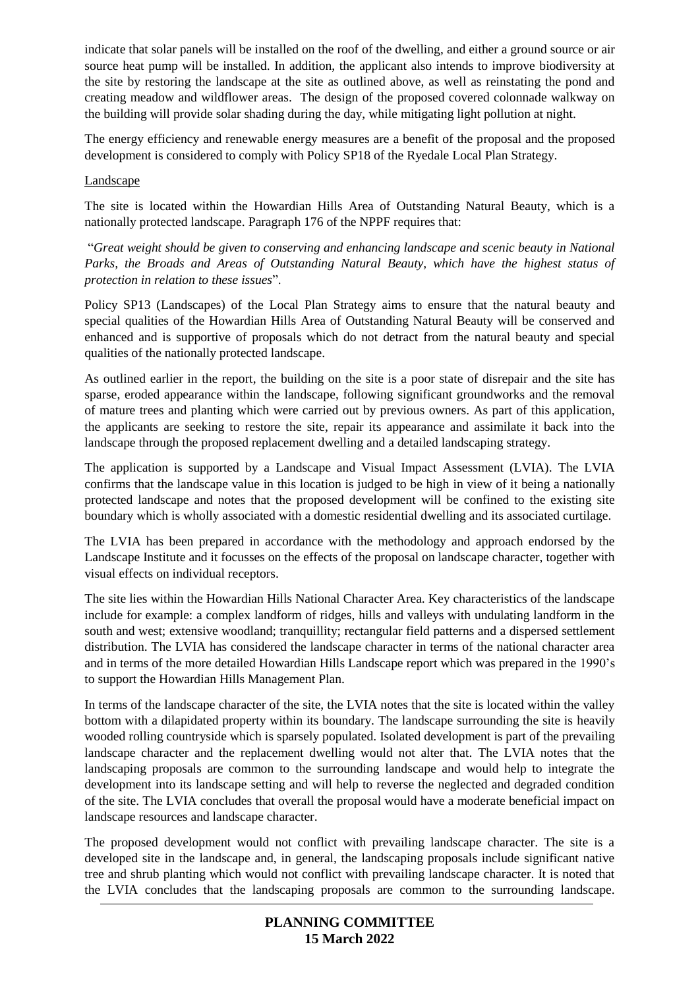indicate that solar panels will be installed on the roof of the dwelling, and either a ground source or air source heat pump will be installed. In addition, the applicant also intends to improve biodiversity at the site by restoring the landscape at the site as outlined above, as well as reinstating the pond and creating meadow and wildflower areas. The design of the proposed covered colonnade walkway on the building will provide solar shading during the day, while mitigating light pollution at night.

The energy efficiency and renewable energy measures are a benefit of the proposal and the proposed development is considered to comply with Policy SP18 of the Ryedale Local Plan Strategy.

#### Landscape

The site is located within the Howardian Hills Area of Outstanding Natural Beauty, which is a nationally protected landscape. Paragraph 176 of the NPPF requires that:

"*Great weight should be given to conserving and enhancing landscape and scenic beauty in National Parks, the Broads and Areas of Outstanding Natural Beauty, which have the highest status of protection in relation to these issues*".

Policy SP13 (Landscapes) of the Local Plan Strategy aims to ensure that the natural beauty and special qualities of the Howardian Hills Area of Outstanding Natural Beauty will be conserved and enhanced and is supportive of proposals which do not detract from the natural beauty and special qualities of the nationally protected landscape.

As outlined earlier in the report, the building on the site is a poor state of disrepair and the site has sparse, eroded appearance within the landscape, following significant groundworks and the removal of mature trees and planting which were carried out by previous owners. As part of this application, the applicants are seeking to restore the site, repair its appearance and assimilate it back into the landscape through the proposed replacement dwelling and a detailed landscaping strategy.

The application is supported by a Landscape and Visual Impact Assessment (LVIA). The LVIA confirms that the landscape value in this location is judged to be high in view of it being a nationally protected landscape and notes that the proposed development will be confined to the existing site boundary which is wholly associated with a domestic residential dwelling and its associated curtilage.

The LVIA has been prepared in accordance with the methodology and approach endorsed by the Landscape Institute and it focusses on the effects of the proposal on landscape character, together with visual effects on individual receptors.

The site lies within the Howardian Hills National Character Area. Key characteristics of the landscape include for example: a complex landform of ridges, hills and valleys with undulating landform in the south and west; extensive woodland; tranquillity; rectangular field patterns and a dispersed settlement distribution. The LVIA has considered the landscape character in terms of the national character area and in terms of the more detailed Howardian Hills Landscape report which was prepared in the 1990's to support the Howardian Hills Management Plan.

In terms of the landscape character of the site, the LVIA notes that the site is located within the valley bottom with a dilapidated property within its boundary. The landscape surrounding the site is heavily wooded rolling countryside which is sparsely populated. Isolated development is part of the prevailing landscape character and the replacement dwelling would not alter that. The LVIA notes that the landscaping proposals are common to the surrounding landscape and would help to integrate the development into its landscape setting and will help to reverse the neglected and degraded condition of the site. The LVIA concludes that overall the proposal would have a moderate beneficial impact on landscape resources and landscape character.

The proposed development would not conflict with prevailing landscape character. The site is a developed site in the landscape and, in general, the landscaping proposals include significant native tree and shrub planting which would not conflict with prevailing landscape character. It is noted that the LVIA concludes that the landscaping proposals are common to the surrounding landscape.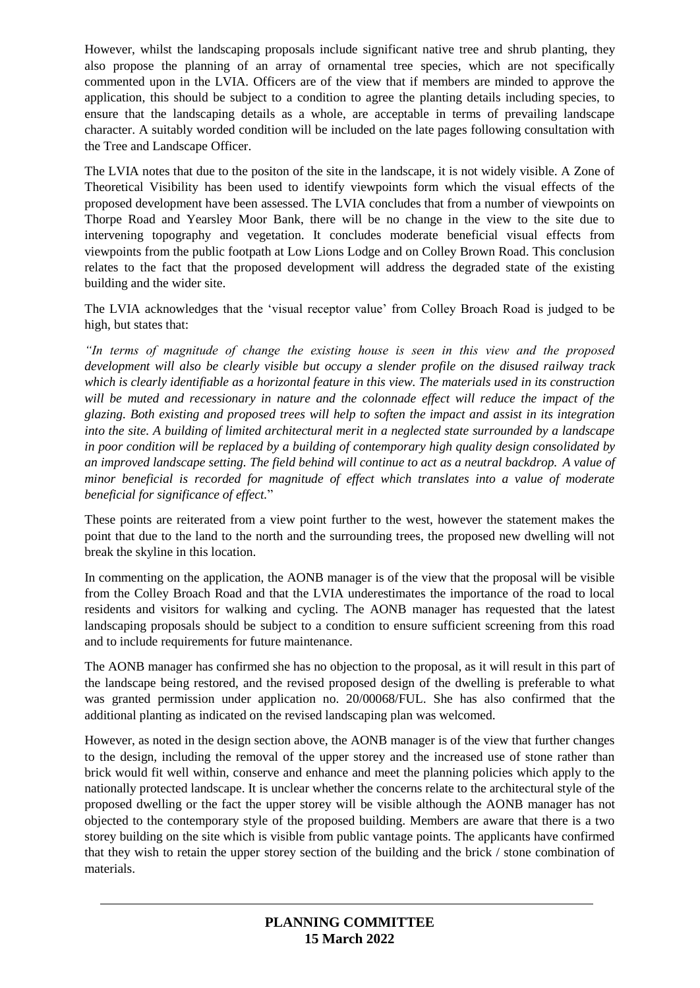However, whilst the landscaping proposals include significant native tree and shrub planting, they also propose the planning of an array of ornamental tree species, which are not specifically commented upon in the LVIA. Officers are of the view that if members are minded to approve the application, this should be subject to a condition to agree the planting details including species, to ensure that the landscaping details as a whole, are acceptable in terms of prevailing landscape character. A suitably worded condition will be included on the late pages following consultation with the Tree and Landscape Officer.

The LVIA notes that due to the positon of the site in the landscape, it is not widely visible. A Zone of Theoretical Visibility has been used to identify viewpoints form which the visual effects of the proposed development have been assessed. The LVIA concludes that from a number of viewpoints on Thorpe Road and Yearsley Moor Bank, there will be no change in the view to the site due to intervening topography and vegetation. It concludes moderate beneficial visual effects from viewpoints from the public footpath at Low Lions Lodge and on Colley Brown Road. This conclusion relates to the fact that the proposed development will address the degraded state of the existing building and the wider site.

The LVIA acknowledges that the 'visual receptor value' from Colley Broach Road is judged to be high, but states that:

*"In terms of magnitude of change the existing house is seen in this view and the proposed development will also be clearly visible but occupy a slender profile on the disused railway track which is clearly identifiable as a horizontal feature in this view. The materials used in its construction will be muted and recessionary in nature and the colonnade effect will reduce the impact of the glazing. Both existing and proposed trees will help to soften the impact and assist in its integration into the site. A building of limited architectural merit in a neglected state surrounded by a landscape in poor condition will be replaced by a building of contemporary high quality design consolidated by an improved landscape setting. The field behind will continue to act as a neutral backdrop. A value of minor beneficial is recorded for magnitude of effect which translates into a value of moderate beneficial for significance of effect.*"

These points are reiterated from a view point further to the west, however the statement makes the point that due to the land to the north and the surrounding trees, the proposed new dwelling will not break the skyline in this location.

In commenting on the application, the AONB manager is of the view that the proposal will be visible from the Colley Broach Road and that the LVIA underestimates the importance of the road to local residents and visitors for walking and cycling. The AONB manager has requested that the latest landscaping proposals should be subject to a condition to ensure sufficient screening from this road and to include requirements for future maintenance.

The AONB manager has confirmed she has no objection to the proposal, as it will result in this part of the landscape being restored, and the revised proposed design of the dwelling is preferable to what was granted permission under application no. 20/00068/FUL. She has also confirmed that the additional planting as indicated on the revised landscaping plan was welcomed.

However, as noted in the design section above, the AONB manager is of the view that further changes to the design, including the removal of the upper storey and the increased use of stone rather than brick would fit well within, conserve and enhance and meet the planning policies which apply to the nationally protected landscape. It is unclear whether the concerns relate to the architectural style of the proposed dwelling or the fact the upper storey will be visible although the AONB manager has not objected to the contemporary style of the proposed building. Members are aware that there is a two storey building on the site which is visible from public vantage points. The applicants have confirmed that they wish to retain the upper storey section of the building and the brick / stone combination of materials.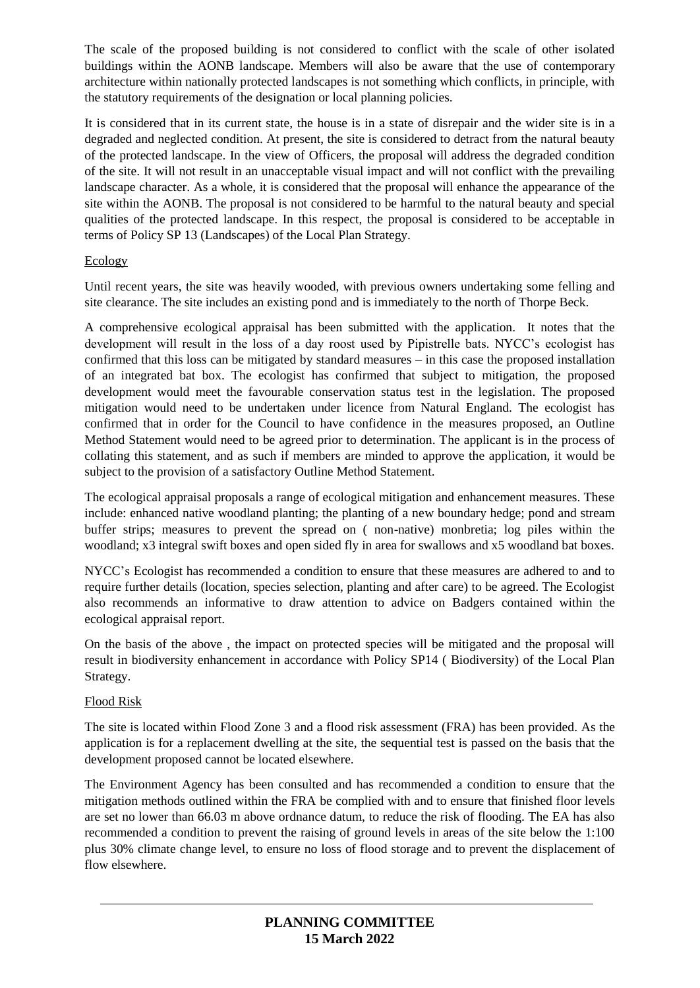The scale of the proposed building is not considered to conflict with the scale of other isolated buildings within the AONB landscape. Members will also be aware that the use of contemporary architecture within nationally protected landscapes is not something which conflicts, in principle, with the statutory requirements of the designation or local planning policies.

It is considered that in its current state, the house is in a state of disrepair and the wider site is in a degraded and neglected condition. At present, the site is considered to detract from the natural beauty of the protected landscape. In the view of Officers, the proposal will address the degraded condition of the site. It will not result in an unacceptable visual impact and will not conflict with the prevailing landscape character. As a whole, it is considered that the proposal will enhance the appearance of the site within the AONB. The proposal is not considered to be harmful to the natural beauty and special qualities of the protected landscape. In this respect, the proposal is considered to be acceptable in terms of Policy SP 13 (Landscapes) of the Local Plan Strategy.

# **Ecology**

Until recent years, the site was heavily wooded, with previous owners undertaking some felling and site clearance. The site includes an existing pond and is immediately to the north of Thorpe Beck.

A comprehensive ecological appraisal has been submitted with the application. It notes that the development will result in the loss of a day roost used by Pipistrelle bats. NYCC's ecologist has confirmed that this loss can be mitigated by standard measures – in this case the proposed installation of an integrated bat box. The ecologist has confirmed that subject to mitigation, the proposed development would meet the favourable conservation status test in the legislation. The proposed mitigation would need to be undertaken under licence from Natural England. The ecologist has confirmed that in order for the Council to have confidence in the measures proposed, an Outline Method Statement would need to be agreed prior to determination. The applicant is in the process of collating this statement, and as such if members are minded to approve the application, it would be subject to the provision of a satisfactory Outline Method Statement.

The ecological appraisal proposals a range of ecological mitigation and enhancement measures. These include: enhanced native woodland planting; the planting of a new boundary hedge; pond and stream buffer strips; measures to prevent the spread on ( non-native) monbretia; log piles within the woodland; x3 integral swift boxes and open sided fly in area for swallows and x5 woodland bat boxes.

NYCC's Ecologist has recommended a condition to ensure that these measures are adhered to and to require further details (location, species selection, planting and after care) to be agreed. The Ecologist also recommends an informative to draw attention to advice on Badgers contained within the ecological appraisal report.

On the basis of the above , the impact on protected species will be mitigated and the proposal will result in biodiversity enhancement in accordance with Policy SP14 ( Biodiversity) of the Local Plan Strategy.

# Flood Risk

The site is located within Flood Zone 3 and a flood risk assessment (FRA) has been provided. As the application is for a replacement dwelling at the site, the sequential test is passed on the basis that the development proposed cannot be located elsewhere.

The Environment Agency has been consulted and has recommended a condition to ensure that the mitigation methods outlined within the FRA be complied with and to ensure that finished floor levels are set no lower than 66.03 m above ordnance datum, to reduce the risk of flooding. The EA has also recommended a condition to prevent the raising of ground levels in areas of the site below the 1:100 plus 30% climate change level, to ensure no loss of flood storage and to prevent the displacement of flow elsewhere.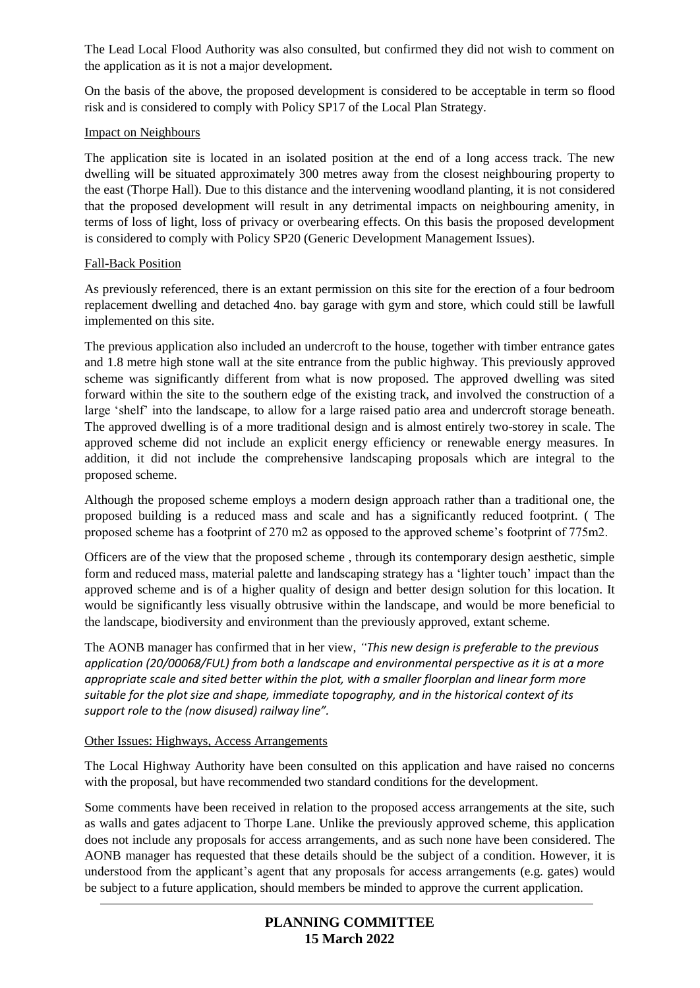The Lead Local Flood Authority was also consulted, but confirmed they did not wish to comment on the application as it is not a major development.

On the basis of the above, the proposed development is considered to be acceptable in term so flood risk and is considered to comply with Policy SP17 of the Local Plan Strategy.

## Impact on Neighbours

The application site is located in an isolated position at the end of a long access track. The new dwelling will be situated approximately 300 metres away from the closest neighbouring property to the east (Thorpe Hall). Due to this distance and the intervening woodland planting, it is not considered that the proposed development will result in any detrimental impacts on neighbouring amenity, in terms of loss of light, loss of privacy or overbearing effects. On this basis the proposed development is considered to comply with Policy SP20 (Generic Development Management Issues).

# Fall-Back Position

As previously referenced, there is an extant permission on this site for the erection of a four bedroom replacement dwelling and detached 4no. bay garage with gym and store, which could still be lawfull implemented on this site.

The previous application also included an undercroft to the house, together with timber entrance gates and 1.8 metre high stone wall at the site entrance from the public highway. This previously approved scheme was significantly different from what is now proposed. The approved dwelling was sited forward within the site to the southern edge of the existing track, and involved the construction of a large 'shelf' into the landscape, to allow for a large raised patio area and undercroft storage beneath. The approved dwelling is of a more traditional design and is almost entirely two-storey in scale. The approved scheme did not include an explicit energy efficiency or renewable energy measures. In addition, it did not include the comprehensive landscaping proposals which are integral to the proposed scheme.

Although the proposed scheme employs a modern design approach rather than a traditional one, the proposed building is a reduced mass and scale and has a significantly reduced footprint. ( The proposed scheme has a footprint of 270 m2 as opposed to the approved scheme's footprint of 775m2.

Officers are of the view that the proposed scheme , through its contemporary design aesthetic, simple form and reduced mass, material palette and landscaping strategy has a 'lighter touch' impact than the approved scheme and is of a higher quality of design and better design solution for this location. It would be significantly less visually obtrusive within the landscape, and would be more beneficial to the landscape, biodiversity and environment than the previously approved, extant scheme.

The AONB manager has confirmed that in her view, *"This new design is preferable to the previous application (20/00068/FUL) from both a landscape and environmental perspective as it is at a more appropriate scale and sited better within the plot, with a smaller floorplan and linear form more suitable for the plot size and shape, immediate topography, and in the historical context of its support role to the (now disused) railway line".*

# Other Issues: Highways, Access Arrangements

The Local Highway Authority have been consulted on this application and have raised no concerns with the proposal, but have recommended two standard conditions for the development.

Some comments have been received in relation to the proposed access arrangements at the site, such as walls and gates adjacent to Thorpe Lane. Unlike the previously approved scheme, this application does not include any proposals for access arrangements, and as such none have been considered. The AONB manager has requested that these details should be the subject of a condition. However, it is understood from the applicant's agent that any proposals for access arrangements (e.g. gates) would be subject to a future application, should members be minded to approve the current application.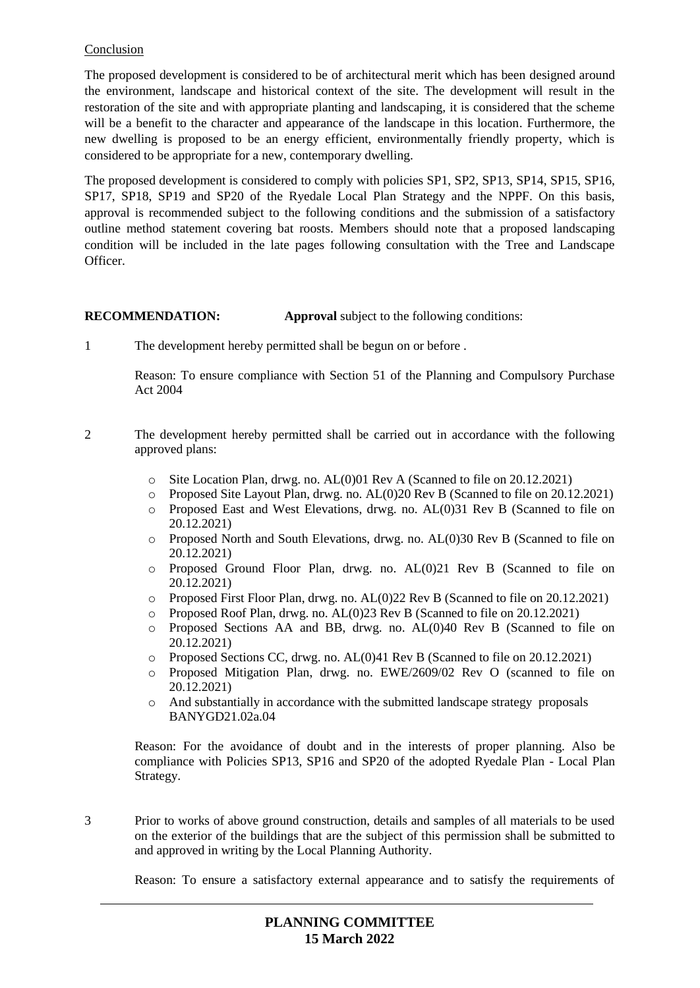## Conclusion

The proposed development is considered to be of architectural merit which has been designed around the environment, landscape and historical context of the site. The development will result in the restoration of the site and with appropriate planting and landscaping, it is considered that the scheme will be a benefit to the character and appearance of the landscape in this location. Furthermore, the new dwelling is proposed to be an energy efficient, environmentally friendly property, which is considered to be appropriate for a new, contemporary dwelling.

The proposed development is considered to comply with policies SP1, SP2, SP13, SP14, SP15, SP16, SP17, SP18, SP19 and SP20 of the Ryedale Local Plan Strategy and the NPPF. On this basis, approval is recommended subject to the following conditions and the submission of a satisfactory outline method statement covering bat roosts. Members should note that a proposed landscaping condition will be included in the late pages following consultation with the Tree and Landscape Officer.

# **RECOMMENDATION: Approval** subject to the following conditions:

1 The development hereby permitted shall be begun on or before .

Reason: To ensure compliance with Section 51 of the Planning and Compulsory Purchase Act 2004

- 2 The development hereby permitted shall be carried out in accordance with the following approved plans:
	- o Site Location Plan, drwg. no. AL(0)01 Rev A (Scanned to file on 20.12.2021)
	- o Proposed Site Layout Plan, drwg. no. AL(0)20 Rev B (Scanned to file on 20.12.2021)
	- o Proposed East and West Elevations, drwg. no. AL(0)31 Rev B (Scanned to file on 20.12.2021)
	- o Proposed North and South Elevations, drwg. no. AL(0)30 Rev B (Scanned to file on 20.12.2021)
	- o Proposed Ground Floor Plan, drwg. no. AL(0)21 Rev B (Scanned to file on 20.12.2021)
	- o Proposed First Floor Plan, drwg. no. AL(0)22 Rev B (Scanned to file on 20.12.2021)
	- o Proposed Roof Plan, drwg. no. AL(0)23 Rev B (Scanned to file on 20.12.2021)
	- o Proposed Sections AA and BB, drwg. no. AL(0)40 Rev B (Scanned to file on 20.12.2021)
	- o Proposed Sections CC, drwg. no. AL(0)41 Rev B (Scanned to file on 20.12.2021)
	- o Proposed Mitigation Plan, drwg. no. EWE/2609/02 Rev O (scanned to file on 20.12.2021)
	- o And substantially in accordance with the submitted landscape strategy proposals BANYGD21.02a.04

Reason: For the avoidance of doubt and in the interests of proper planning. Also be compliance with Policies SP13, SP16 and SP20 of the adopted Ryedale Plan - Local Plan Strategy.

3 Prior to works of above ground construction, details and samples of all materials to be used on the exterior of the buildings that are the subject of this permission shall be submitted to and approved in writing by the Local Planning Authority.

Reason: To ensure a satisfactory external appearance and to satisfy the requirements of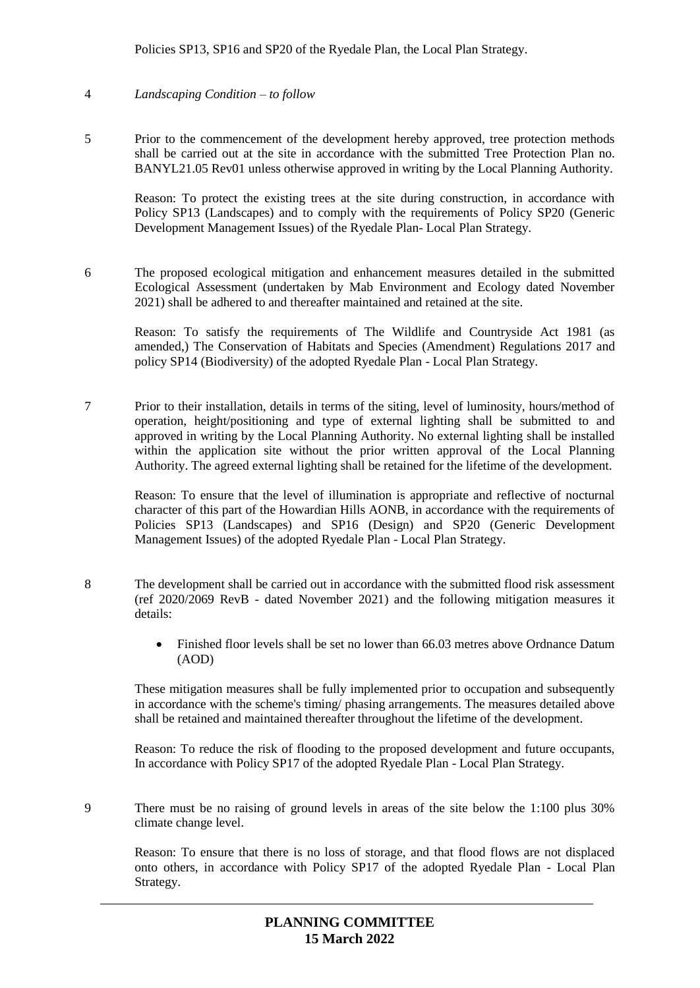Policies SP13, SP16 and SP20 of the Ryedale Plan, the Local Plan Strategy.

#### 4 *Landscaping Condition – to follow*

5 Prior to the commencement of the development hereby approved, tree protection methods shall be carried out at the site in accordance with the submitted Tree Protection Plan no. BANYL21.05 Rev01 unless otherwise approved in writing by the Local Planning Authority.

Reason: To protect the existing trees at the site during construction, in accordance with Policy SP13 (Landscapes) and to comply with the requirements of Policy SP20 (Generic Development Management Issues) of the Ryedale Plan- Local Plan Strategy.

6 The proposed ecological mitigation and enhancement measures detailed in the submitted Ecological Assessment (undertaken by Mab Environment and Ecology dated November 2021) shall be adhered to and thereafter maintained and retained at the site.

Reason: To satisfy the requirements of The Wildlife and Countryside Act 1981 (as amended,) The Conservation of Habitats and Species (Amendment) Regulations 2017 and policy SP14 (Biodiversity) of the adopted Ryedale Plan - Local Plan Strategy.

7 Prior to their installation, details in terms of the siting, level of luminosity, hours/method of operation, height/positioning and type of external lighting shall be submitted to and approved in writing by the Local Planning Authority. No external lighting shall be installed within the application site without the prior written approval of the Local Planning Authority. The agreed external lighting shall be retained for the lifetime of the development.

Reason: To ensure that the level of illumination is appropriate and reflective of nocturnal character of this part of the Howardian Hills AONB, in accordance with the requirements of Policies SP13 (Landscapes) and SP16 (Design) and SP20 (Generic Development Management Issues) of the adopted Ryedale Plan - Local Plan Strategy.

- 8 The development shall be carried out in accordance with the submitted flood risk assessment (ref 2020/2069 RevB - dated November 2021) and the following mitigation measures it details:
	- Finished floor levels shall be set no lower than 66.03 metres above Ordnance Datum (AOD)

These mitigation measures shall be fully implemented prior to occupation and subsequently in accordance with the scheme's timing/ phasing arrangements. The measures detailed above shall be retained and maintained thereafter throughout the lifetime of the development.

Reason: To reduce the risk of flooding to the proposed development and future occupants, In accordance with Policy SP17 of the adopted Ryedale Plan - Local Plan Strategy.

9 There must be no raising of ground levels in areas of the site below the 1:100 plus 30% climate change level.

Reason: To ensure that there is no loss of storage, and that flood flows are not displaced onto others, in accordance with Policy SP17 of the adopted Ryedale Plan - Local Plan Strategy.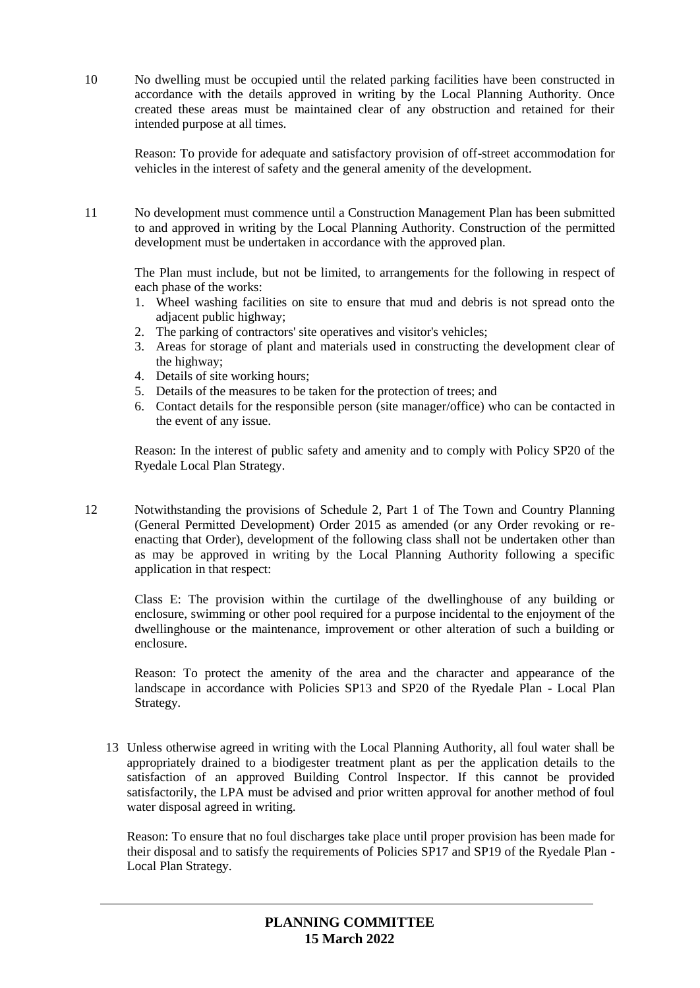10 No dwelling must be occupied until the related parking facilities have been constructed in accordance with the details approved in writing by the Local Planning Authority. Once created these areas must be maintained clear of any obstruction and retained for their intended purpose at all times.

Reason: To provide for adequate and satisfactory provision of off-street accommodation for vehicles in the interest of safety and the general amenity of the development.

11 No development must commence until a Construction Management Plan has been submitted to and approved in writing by the Local Planning Authority. Construction of the permitted development must be undertaken in accordance with the approved plan.

The Plan must include, but not be limited, to arrangements for the following in respect of each phase of the works:

- 1. Wheel washing facilities on site to ensure that mud and debris is not spread onto the adjacent public highway;
- 2. The parking of contractors' site operatives and visitor's vehicles;
- 3. Areas for storage of plant and materials used in constructing the development clear of the highway;
- 4. Details of site working hours;
- 5. Details of the measures to be taken for the protection of trees; and
- 6. Contact details for the responsible person (site manager/office) who can be contacted in the event of any issue.

Reason: In the interest of public safety and amenity and to comply with Policy SP20 of the Ryedale Local Plan Strategy.

12 Notwithstanding the provisions of Schedule 2, Part 1 of The Town and Country Planning (General Permitted Development) Order 2015 as amended (or any Order revoking or reenacting that Order), development of the following class shall not be undertaken other than as may be approved in writing by the Local Planning Authority following a specific application in that respect:

Class E: The provision within the curtilage of the dwellinghouse of any building or enclosure, swimming or other pool required for a purpose incidental to the enjoyment of the dwellinghouse or the maintenance, improvement or other alteration of such a building or enclosure.

Reason: To protect the amenity of the area and the character and appearance of the landscape in accordance with Policies SP13 and SP20 of the Ryedale Plan - Local Plan Strategy.

13 Unless otherwise agreed in writing with the Local Planning Authority, all foul water shall be appropriately drained to a biodigester treatment plant as per the application details to the satisfaction of an approved Building Control Inspector. If this cannot be provided satisfactorily, the LPA must be advised and prior written approval for another method of foul water disposal agreed in writing.

Reason: To ensure that no foul discharges take place until proper provision has been made for their disposal and to satisfy the requirements of Policies SP17 and SP19 of the Ryedale Plan - Local Plan Strategy.